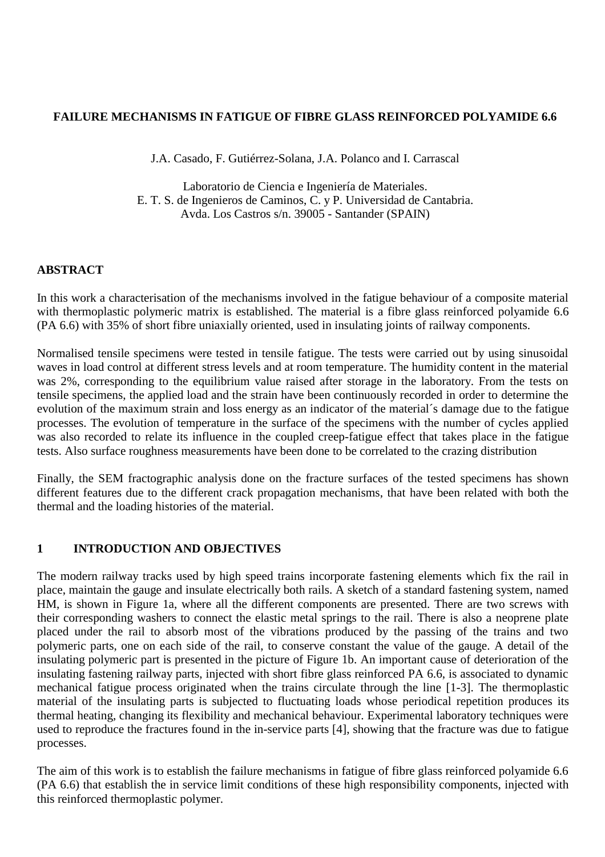### **FAILURE MECHANISMS IN FATIGUE OF FIBRE GLASS REINFORCED POLYAMIDE 6.6**

J.A. Casado, F. Gutiérrez-Solana, J.A. Polanco and I. Carrascal

Laboratorio de Ciencia e Ingeniería de Materiales. E. T. S. de Ingenieros de Caminos, C. y P. Universidad de Cantabria. Avda. Los Castros s/n. 39005 - Santander (SPAIN)

#### **ABSTRACT**

In this work a characterisation of the mechanisms involved in the fatigue behaviour of a composite material with thermoplastic polymeric matrix is established. The material is a fibre glass reinforced polyamide 6.6 (PA 6.6) with 35% of short fibre uniaxially oriented, used in insulating joints of railway components.

Normalised tensile specimens were tested in tensile fatigue. The tests were carried out by using sinusoidal waves in load control at different stress levels and at room temperature. The humidity content in the material was 2%, corresponding to the equilibrium value raised after storage in the laboratory. From the tests on tensile specimens, the applied load and the strain have been continuously recorded in order to determine the evolution of the maximum strain and loss energy as an indicator of the material´s damage due to the fatigue processes. The evolution of temperature in the surface of the specimens with the number of cycles applied was also recorded to relate its influence in the coupled creep-fatigue effect that takes place in the fatigue tests. Also surface roughness measurements have been done to be correlated to the crazing distribution

Finally, the SEM fractographic analysis done on the fracture surfaces of the tested specimens has shown different features due to the different crack propagation mechanisms, that have been related with both the thermal and the loading histories of the material.

### **1 INTRODUCTION AND OBJECTIVES**

The modern railway tracks used by high speed trains incorporate fastening elements which fix the rail in place, maintain the gauge and insulate electrically both rails. A sketch of a standard fastening system, named HM, is shown in Figure 1a, where all the different components are presented. There are two screws with their corresponding washers to connect the elastic metal springs to the rail. There is also a neoprene plate placed under the rail to absorb most of the vibrations produced by the passing of the trains and two polymeric parts, one on each side of the rail, to conserve constant the value of the gauge. A detail of the insulating polymeric part is presented in the picture of Figure 1b. An important cause of deterioration of the insulating fastening railway parts, injected with short fibre glass reinforced PA 6.6, is associated to dynamic mechanical fatigue process originated when the trains circulate through the line [1-3]. The thermoplastic material of the insulating parts is subjected to fluctuating loads whose periodical repetition produces its thermal heating, changing its flexibility and mechanical behaviour. Experimental laboratory techniques were used to reproduce the fractures found in the in-service parts [4], showing that the fracture was due to fatigue processes.

The aim of this work is to establish the failure mechanisms in fatigue of fibre glass reinforced polyamide 6.6 (PA 6.6) that establish the in service limit conditions of these high responsibility components, injected with this reinforced thermoplastic polymer.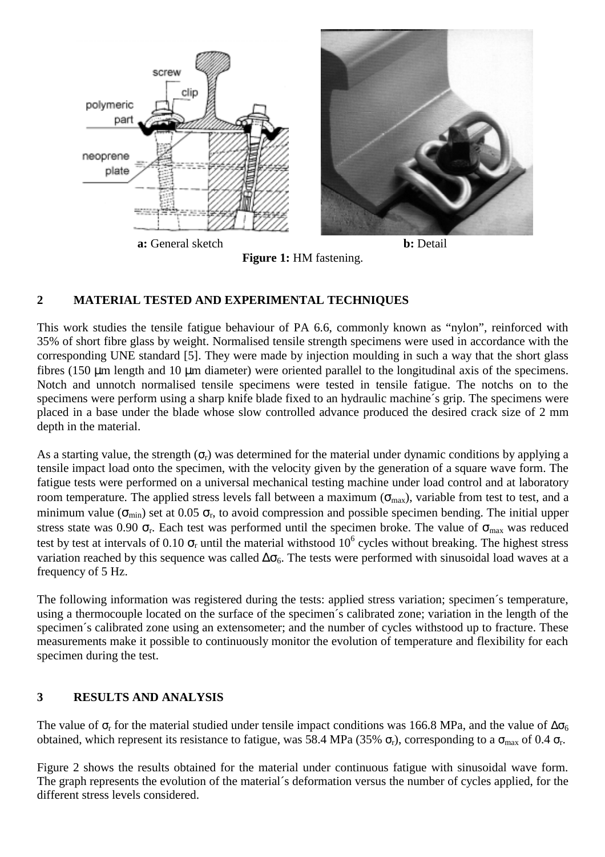



**Figure 1:** HM fastening.

# **2 MATERIAL TESTED AND EXPERIMENTAL TECHNIQUES**

This work studies the tensile fatigue behaviour of PA 6.6, commonly known as "nylon", reinforced with 35% of short fibre glass by weight. Normalised tensile strength specimens were used in accordance with the corresponding UNE standard [5]. They were made by injection moulding in such a way that the short glass fibres (150 µm length and 10 µm diameter) were oriented parallel to the longitudinal axis of the specimens. Notch and unnotch normalised tensile specimens were tested in tensile fatigue. The notchs on to the specimens were perform using a sharp knife blade fixed to an hydraulic machine´s grip. The specimens were placed in a base under the blade whose slow controlled advance produced the desired crack size of 2 mm depth in the material.

As a starting value, the strength  $(\sigma_r)$  was determined for the material under dynamic conditions by applying a tensile impact load onto the specimen, with the velocity given by the generation of a square wave form. The fatigue tests were performed on a universal mechanical testing machine under load control and at laboratory room temperature. The applied stress levels fall between a maximum ( $\sigma_{\text{max}}$ ), variable from test to test, and a minimum value ( $\sigma_{min}$ ) set at 0.05  $\sigma_r$ , to avoid compression and possible specimen bending. The initial upper stress state was 0.90  $\sigma_r$ . Each test was performed until the specimen broke. The value of  $\sigma_{\text{max}}$  was reduced test by test at intervals of 0.10  $\sigma_r$  until the material withstood 10<sup>6</sup> cycles without breaking. The highest stress variation reached by this sequence was called  $\Delta\sigma_6$ . The tests were performed with sinusoidal load waves at a frequency of 5 Hz.

The following information was registered during the tests: applied stress variation; specimen´s temperature, using a thermocouple located on the surface of the specimen´s calibrated zone; variation in the length of the specimen´s calibrated zone using an extensometer; and the number of cycles withstood up to fracture. These measurements make it possible to continuously monitor the evolution of temperature and flexibility for each specimen during the test.

# **3 RESULTS AND ANALYSIS**

The value of  $\sigma_r$  for the material studied under tensile impact conditions was 166.8 MPa, and the value of  $\Delta \sigma_6$ obtained, which represent its resistance to fatigue, was 58.4 MPa (35%  $\sigma_r$ ), corresponding to a  $\sigma_{\text{max}}$  of 0.4  $\sigma_r$ .

Figure 2 shows the results obtained for the material under continuous fatigue with sinusoidal wave form. The graph represents the evolution of the material´s deformation versus the number of cycles applied, for the different stress levels considered.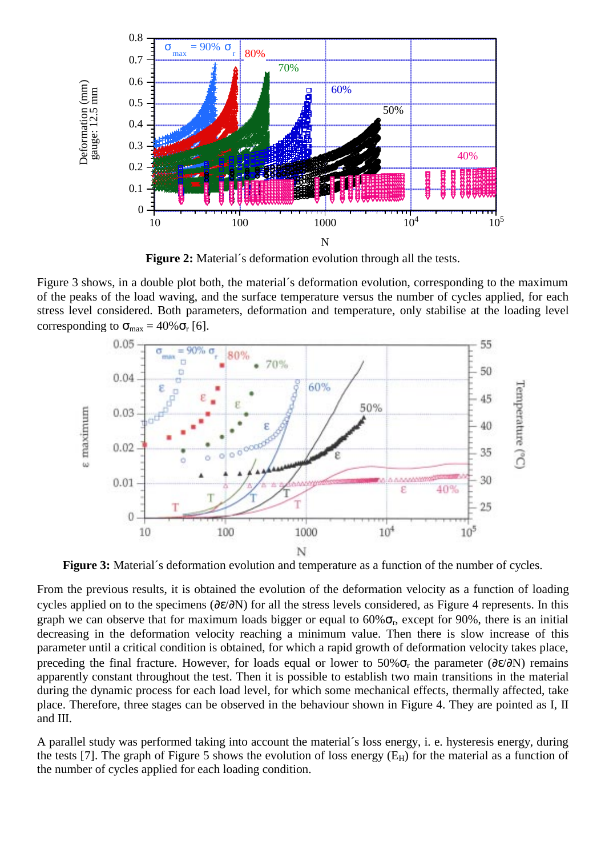

**Figure 2:** Material´s deformation evolution through all the tests.

Figure 3 shows, in a double plot both, the material´s deformation evolution, corresponding to the maximum of the peaks of the load waving, and the surface temperature versus the number of cycles applied, for each stress level considered. Both parameters, deformation and temperature, only stabilise at the loading level corresponding to  $\sigma_{\text{max}} = 40\% \sigma_{\text{r}}$  [6].



**Figure 3:** Material's deformation evolution and temperature as a function of the number of cycles.

From the previous results, it is obtained the evolution of the deformation velocity as a function of loading cycles applied on to the specimens (∂ε/∂N) for all the stress levels considered, as Figure 4 represents. In this graph we can observe that for maximum loads bigger or equal to  $60\%$ <sub> $\sigma_r$ </sub>, except for 90%, there is an initial decreasing in the deformation velocity reaching a minimum value. Then there is slow increase of this parameter until a critical condition is obtained, for which a rapid growth of deformation velocity takes place, preceding the final fracture. However, for loads equal or lower to 50% $\sigma_r$  the parameter (∂ε/∂N) remains apparently constant throughout the test. Then it is possible to establish two main transitions in the material during the dynamic process for each load level, for which some mechanical effects, thermally affected, take place. Therefore, three stages can be observed in the behaviour shown in Figure 4. They are pointed as I, II and III.

A parallel study was performed taking into account the material´s loss energy, i. e. hysteresis energy, during the tests [7]. The graph of Figure 5 shows the evolution of loss energy  $(E_H)$  for the material as a function of the number of cycles applied for each loading condition.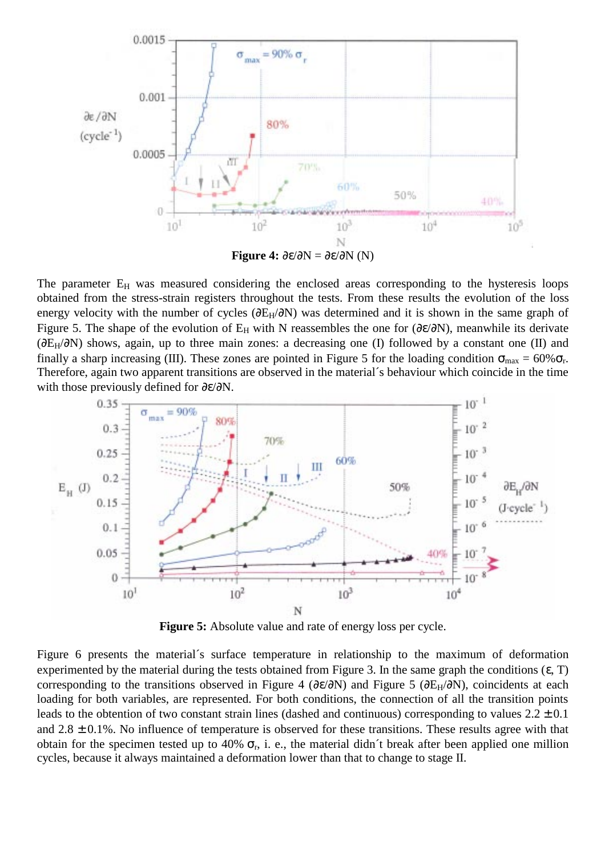

The parameter  $E_H$  was measured considering the enclosed areas corresponding to the hysteresis loops obtained from the stress-strain registers throughout the tests. From these results the evolution of the loss energy velocity with the number of cycles ( $\partial E_H/\partial N$ ) was determined and it is shown in the same graph of Figure 5. The shape of the evolution of E<sub>H</sub> with N reassembles the one for ( $\partial \epsilon/\partial N$ ), meanwhile its derivate (∂EH/∂N) shows, again, up to three main zones: a decreasing one (I) followed by a constant one (II) and finally a sharp increasing (III). These zones are pointed in Figure 5 for the loading condition  $\sigma_{\text{max}} = 60\% \sigma_r$ . Therefore, again two apparent transitions are observed in the material´s behaviour which coincide in the time with those previously defined for ∂ε/∂N.



**Figure 5:** Absolute value and rate of energy loss per cycle.

Figure 6 presents the material´s surface temperature in relationship to the maximum of deformation experimented by the material during the tests obtained from Figure 3. In the same graph the conditions  $(\epsilon, T)$ corresponding to the transitions observed in Figure 4 (∂ε/∂N) and Figure 5 (∂E<sub>H</sub>/∂N), coincidents at each loading for both variables, are represented. For both conditions, the connection of all the transition points leads to the obtention of two constant strain lines (dashed and continuous) corresponding to values  $2.2 \pm 0.1$ and  $2.8 \pm 0.1$ %. No influence of temperature is observed for these transitions. These results agree with that obtain for the specimen tested up to 40%  $\sigma_r$ , i. e., the material didn't break after been applied one million cycles, because it always maintained a deformation lower than that to change to stage II.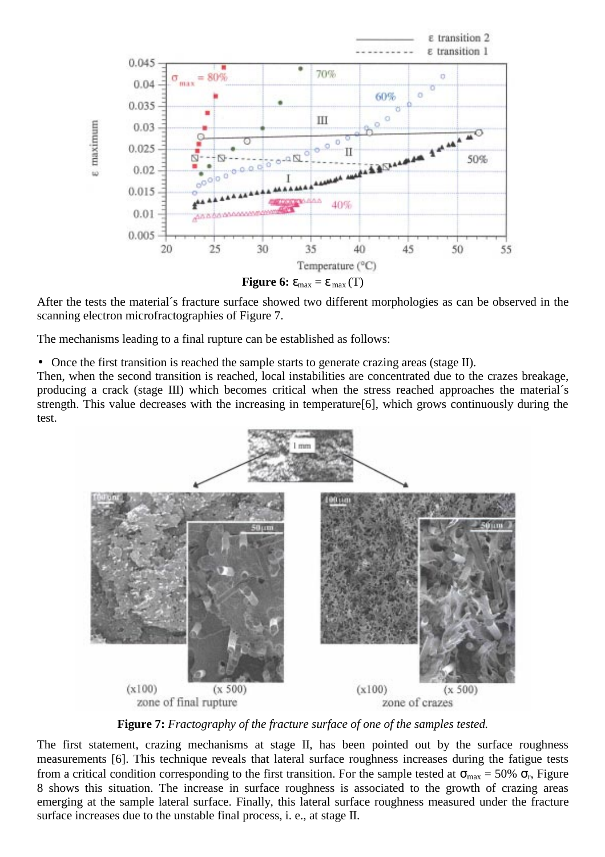

**Figure 6:**  $\varepsilon_{\text{max}} = \varepsilon_{\text{max}}(T)$ 

After the tests the material´s fracture surface showed two different morphologies as can be observed in the scanning electron microfractographies of Figure 7.

The mechanisms leading to a final rupture can be established as follows:

• Once the first transition is reached the sample starts to generate crazing areas (stage II).

Then, when the second transition is reached, local instabilities are concentrated due to the crazes breakage, producing a crack (stage III) which becomes critical when the stress reached approaches the material´s strength. This value decreases with the increasing in temperature[6], which grows continuously during the test.



**Figure 7:** *Fractography of the fracture surface of one of the samples tested.*

The first statement, crazing mechanisms at stage II, has been pointed out by the surface roughness measurements [6]. This technique reveals that lateral surface roughness increases during the fatigue tests from a critical condition corresponding to the first transition. For the sample tested at  $\sigma_{\text{max}} = 50\% \sigma_r$ , Figure 8 shows this situation. The increase in surface roughness is associated to the growth of crazing areas emerging at the sample lateral surface. Finally, this lateral surface roughness measured under the fracture surface increases due to the unstable final process, i. e., at stage II.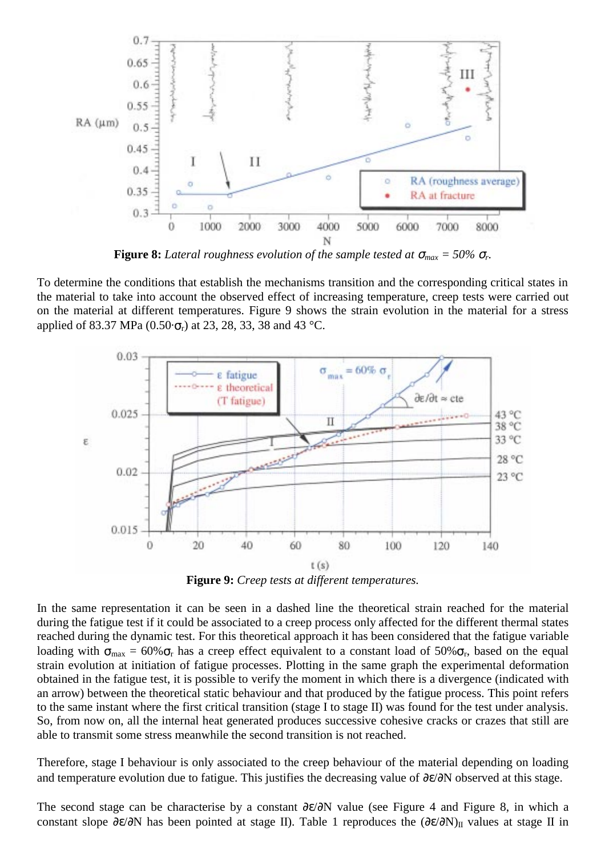

**Figure 8:** *Lateral roughness evolution of the sample tested at*  $\sigma_{max} = 50\% \sigma_r$ .

To determine the conditions that establish the mechanisms transition and the corresponding critical states in the material to take into account the observed effect of increasing temperature, creep tests were carried out on the material at different temperatures. Figure 9 shows the strain evolution in the material for a stress applied of 83.37 MPa  $(0.50 \cdot \sigma_r)$  at 23, 28, 33, 38 and 43 °C.



**Figure 9:** *Creep tests at different temperatures.*

In the same representation it can be seen in a dashed line the theoretical strain reached for the material during the fatigue test if it could be associated to a creep process only affected for the different thermal states reached during the dynamic test. For this theoretical approach it has been considered that the fatigue variable loading with  $\sigma_{\text{max}} = 60\% \sigma_{\text{r}}$  has a creep effect equivalent to a constant load of 50% $\sigma_{\text{r}}$ , based on the equal strain evolution at initiation of fatigue processes. Plotting in the same graph the experimental deformation obtained in the fatigue test, it is possible to verify the moment in which there is a divergence (indicated with an arrow) between the theoretical static behaviour and that produced by the fatigue process. This point refers to the same instant where the first critical transition (stage I to stage II) was found for the test under analysis. So, from now on, all the internal heat generated produces successive cohesive cracks or crazes that still are able to transmit some stress meanwhile the second transition is not reached.

Therefore, stage I behaviour is only associated to the creep behaviour of the material depending on loading and temperature evolution due to fatigue. This justifies the decreasing value of ∂ε/∂N observed at this stage.

The second stage can be characterise by a constant ∂ε/∂N value (see Figure 4 and Figure 8, in which a constant slope ∂ε/∂N has been pointed at stage II). Table 1 reproduces the  $(\partial \epsilon/\partial N)$ <sub>II</sub> values at stage II in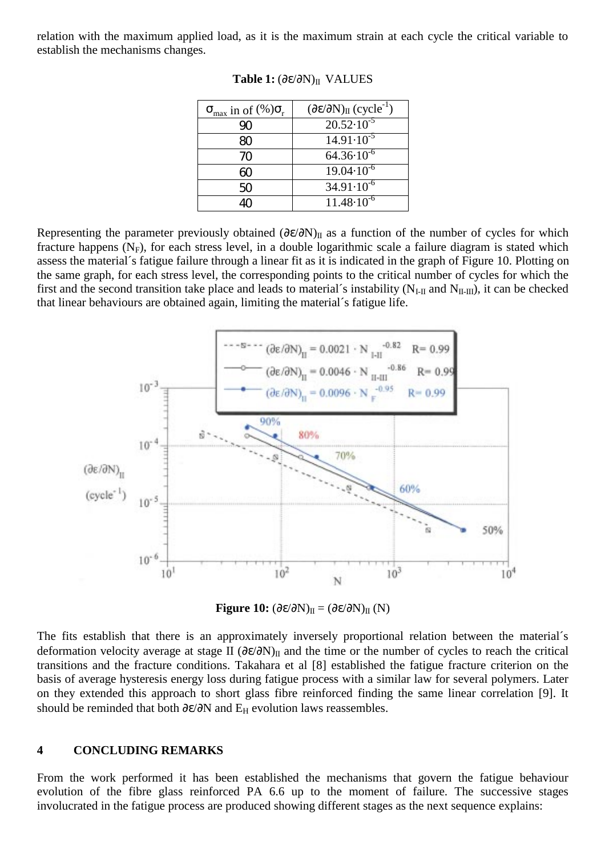relation with the maximum applied load, as it is the maximum strain at each cycle the critical variable to establish the mechanisms changes.

| $\sigma_{\text{max}}$ in of $(\%)\sigma_{\text{r}}$ | $(\partial \varepsilon / \partial N)_{II}$ (cycle <sup>-1</sup> ) |
|-----------------------------------------------------|-------------------------------------------------------------------|
| 90                                                  | $20.52 \cdot 10^{-5}$                                             |
| 80                                                  | $14.91 \cdot 10^{-5}$                                             |
| 70                                                  | $64.36 \cdot 10^{-6}$                                             |
| 60                                                  | $19.04 \cdot \overline{10^{-6}}$                                  |
| 50                                                  | $34.91 \cdot 10^{-6}$                                             |
| 40                                                  | $11.48 \cdot 10^{-6}$                                             |

**Table 1:** (∂ε/∂N)II VALUES

Representing the parameter previously obtained  $(\partial \varepsilon/\partial N)_{II}$  as a function of the number of cycles for which fracture happens  $(N_F)$ , for each stress level, in a double logarithmic scale a failure diagram is stated which assess the material´s fatigue failure through a linear fit as it is indicated in the graph of Figure 10. Plotting on the same graph, for each stress level, the corresponding points to the critical number of cycles for which the first and the second transition take place and leads to material's instability ( $N_{L\text{II}}$  and  $N_{\text{II-III}}$ ), it can be checked that linear behaviours are obtained again, limiting the material´s fatigue life.



**Figure 10:**  $(\partial \varepsilon/\partial N)_{II} = (\partial \varepsilon/\partial N)_{II}$  (N)

The fits establish that there is an approximately inversely proportional relation between the material´s deformation velocity average at stage II  $(\partial \varepsilon/\partial N)_{II}$  and the time or the number of cycles to reach the critical transitions and the fracture conditions. Takahara et al [8] established the fatigue fracture criterion on the basis of average hysteresis energy loss during fatigue process with a similar law for several polymers. Later on they extended this approach to short glass fibre reinforced finding the same linear correlation [9]. It should be reminded that both  $\partial \varepsilon / \partial N$  and  $E_H$  evolution laws reassembles.

#### **4 CONCLUDING REMARKS**

From the work performed it has been established the mechanisms that govern the fatigue behaviour evolution of the fibre glass reinforced PA 6.6 up to the moment of failure. The successive stages involucrated in the fatigue process are produced showing different stages as the next sequence explains: